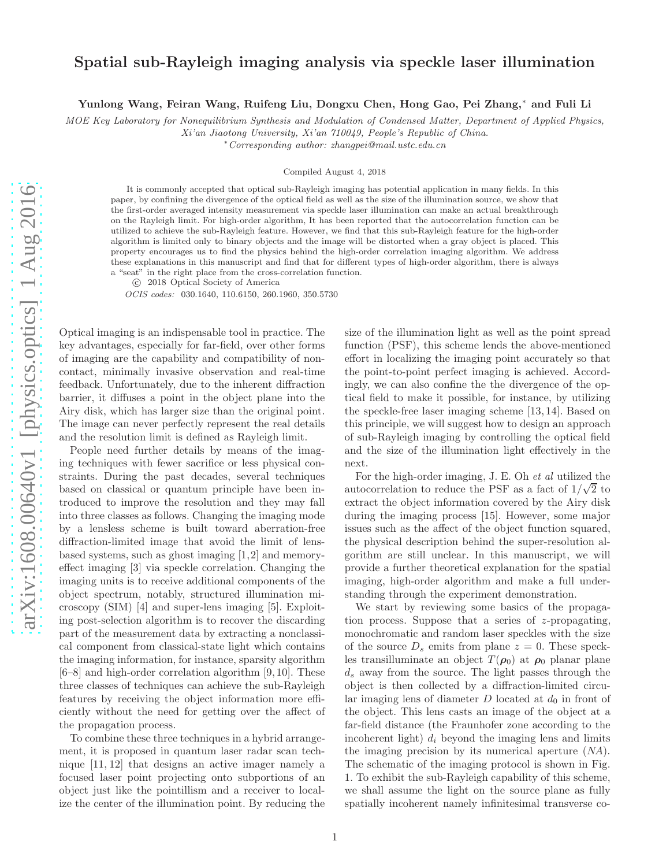## Spatial sub-Rayleigh imaging analysis via speckle laser illumination

Yunlong Wang, Feiran Wang, Ruifeng Liu, Dongxu Chen, Hong Gao, Pei Zhang,<sup>∗</sup> and Fuli Li

MOE Key Laboratory for Nonequilibrium Synthesis and Modulation of Condensed Matter, Department of Applied Physics,

Xi'an Jiaotong University, Xi'an 710049, People's Republic of China.

<sup>∗</sup>Corresponding author: zhangpei@mail.ustc.edu.cn

Compiled August 4, 2018

It is commonly accepted that optical sub-Rayleigh imaging has potential application in many fields. In this paper, by confining the divergence of the optical field as well as the size of the illumination source, we show that the first-order averaged intensity measurement via speckle laser illumination can make an actual breakthrough on the Rayleigh limit. For high-order algorithm, It has been reported that the autocorrelation function can be utilized to achieve the sub-Rayleigh feature. However, we find that this sub-Rayleigh feature for the high-order algorithm is limited only to binary objects and the image will be distorted when a gray object is placed. This property encourages us to find the physics behind the high-order correlation imaging algorithm. We address these explanations in this manuscript and find that for different types of high-order algorithm, there is always a "seat" in the right place from the cross-correlation function.

c 2018 Optical Society of America

OCIS codes: 030.1640, 110.6150, 260.1960, 350.5730

Optical imaging is an indispensable tool in practice. The key advantages, especially for far-field, over other forms of imaging are the capability and compatibility of noncontact, minimally invasive observation and real-time feedback. Unfortunately, due to the inherent diffraction barrier, it diffuses a point in the object plane into the Airy disk, which has larger size than the original point. The image can never perfectly represent the real details and the resolution limit is defined as Rayleigh limit.

People need further details by means of the imaging techniques with fewer sacrifice or less physical constraints. During the past decades, several techniques based on classical or quantum principle have been introduced to improve the resolution and they may fall into three classes as follows. Changing the imaging mode by a lensless scheme is built toward aberration-free diffraction-limited image that avoid the limit of lensbased systems, such as ghost imaging [1,2] and memoryeffect imaging [3] via speckle correlation. Changing the imaging units is to receive additional components of the object spectrum, notably, structured illumination microscopy (SIM) [4] and super-lens imaging [5]. Exploiting post-selection algorithm is to recover the discarding part of the measurement data by extracting a nonclassical component from classical-state light which contains the imaging information, for instance, sparsity algorithm [6–8] and high-order correlation algorithm [9, 10]. These three classes of techniques can achieve the sub-Rayleigh features by receiving the object information more efficiently without the need for getting over the affect of the propagation process.

To combine these three techniques in a hybrid arrangement, it is proposed in quantum laser radar scan technique [11, 12] that designs an active imager namely a focused laser point projecting onto subportions of an object just like the pointillism and a receiver to localize the center of the illumination point. By reducing the size of the illumination light as well as the point spread function (PSF), this scheme lends the above-mentioned effort in localizing the imaging point accurately so that the point-to-point perfect imaging is achieved. Accordingly, we can also confine the the divergence of the optical field to make it possible, for instance, by utilizing the speckle-free laser imaging scheme [13, 14]. Based on this principle, we will suggest how to design an approach of sub-Rayleigh imaging by controlling the optical field and the size of the illumination light effectively in the next.

For the high-order imaging, J. E. Oh et al utilized the autocorrelation to reduce the PSF as a fact of  $1/\sqrt{2}$  to extract the object information covered by the Airy disk during the imaging process [15]. However, some major issues such as the affect of the object function squared, the physical description behind the super-resolution algorithm are still unclear. In this manuscript, we will provide a further theoretical explanation for the spatial imaging, high-order algorithm and make a full understanding through the experiment demonstration.

We start by reviewing some basics of the propagation process. Suppose that a series of z-propagating, monochromatic and random laser speckles with the size of the source  $D_s$  emits from plane  $z = 0$ . These speckles transilluminate an object  $T(\rho_0)$  at  $\rho_0$  planar plane  $d_s$  away from the source. The light passes through the object is then collected by a diffraction-limited circular imaging lens of diameter  $D$  located at  $d_0$  in front of the object. This lens casts an image of the object at a far-field distance (the Fraunhofer zone according to the incoherent light)  $d_i$  beyond the imaging lens and limits the imaging precision by its numerical aperture (NA). The schematic of the imaging protocol is shown in Fig. 1. To exhibit the sub-Rayleigh capability of this scheme, we shall assume the light on the source plane as fully spatially incoherent namely infinitesimal transverse co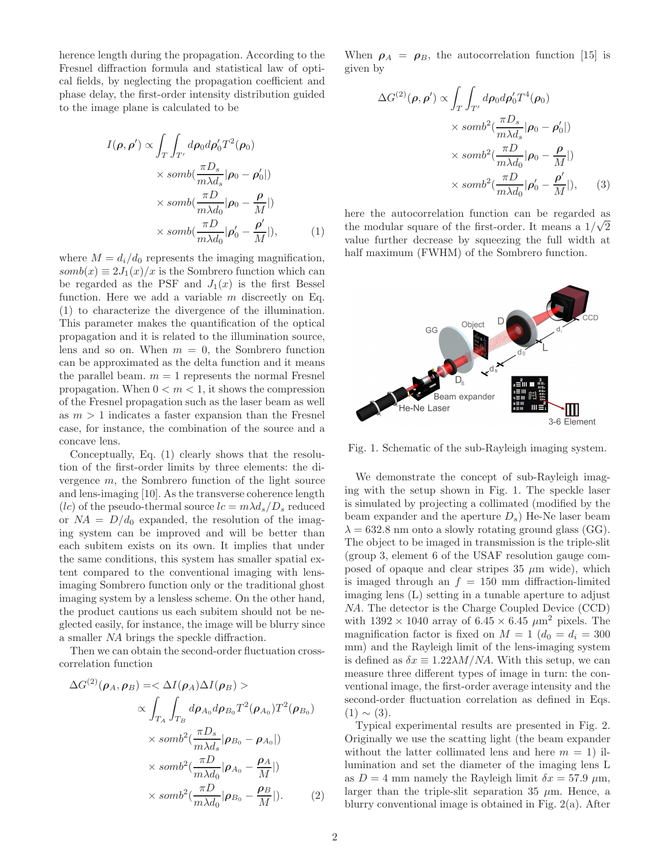herence length during the propagation. According to the Fresnel diffraction formula and statistical law of optical fields, by neglecting the propagation coefficient and phase delay, the first-order intensity distribution guided to the image plane is calculated to be

$$
I(\rho, \rho') \propto \int_{T} \int_{T'} d\rho_0 d\rho'_0 T^2(\rho_0)
$$
  
 
$$
\times \text{ somb}(\frac{\pi D_s}{m\lambda d_s}|\rho_0 - \rho'_0|)
$$
  
 
$$
\times \text{ somb}(\frac{\pi D}{m\lambda d_0}|\rho_0 - \frac{\rho}{M}|)
$$
  
 
$$
\times \text{ somb}(\frac{\pi D}{m\lambda d_0}|\rho'_0 - \frac{\rho'}{M}|), \qquad (1)
$$

where  $M = d_i/d_0$  represents the imaging magnification,  $somb(x) \equiv 2J_1(x)/x$  is the Sombrero function which can be regarded as the PSF and  $J_1(x)$  is the first Bessel function. Here we add a variable  $m$  discreetly on Eq. (1) to characterize the divergence of the illumination. This parameter makes the quantification of the optical propagation and it is related to the illumination source, lens and so on. When  $m = 0$ , the Sombrero function can be approximated as the delta function and it means the parallel beam.  $m = 1$  represents the normal Fresnel propagation. When  $0 < m < 1$ , it shows the compression of the Fresnel propagation such as the laser beam as well as  $m > 1$  indicates a faster expansion than the Fresnel case, for instance, the combination of the source and a concave lens.

Conceptually, Eq. (1) clearly shows that the resolution of the first-order limits by three elements: the divergence m, the Sombrero function of the light source and lens-imaging [10]. As the transverse coherence length (*lc*) of the pseudo-thermal source  $lc = m\lambda d_s/D_s$  reduced or  $NA = D/d_0$  expanded, the resolution of the imaging system can be improved and will be better than each subitem exists on its own. It implies that under the same conditions, this system has smaller spatial extent compared to the conventional imaging with lensimaging Sombrero function only or the traditional ghost imaging system by a lensless scheme. On the other hand, the product cautions us each subitem should not be neglected easily, for instance, the image will be blurry since a smaller NA brings the speckle diffraction.

Then we can obtain the second-order fluctuation crosscorrelation function

$$
\Delta G^{(2)}(\rho_A, \rho_B) = \langle \Delta I(\rho_A) \Delta I(\rho_B) \rangle
$$
  

$$
\propto \int_{T_A} \int_{T_B} d\rho_{A_0} d\rho_{B_0} T^2(\rho_{A_0}) T^2(\rho_{B_0})
$$
  

$$
\times \text{ somb}^2(\frac{\pi D_s}{m\lambda d_s}|\rho_{B_0} - \rho_{A_0}|)
$$
  

$$
\times \text{ somb}^2(\frac{\pi D}{m\lambda d_0}|\rho_{A_0} - \frac{\rho_A}{M}|)
$$
  

$$
\times \text{ somb}^2(\frac{\pi D}{m\lambda d_0}|\rho_{B_0} - \frac{\rho_B}{M}|).
$$
 (2)

When  $\rho_A = \rho_B$ , the autocorrelation function [15] is given by

$$
\Delta G^{(2)}(\rho, \rho') \propto \int_{T} \int_{T'} d\rho_0 d\rho'_0 T^4(\rho_0)
$$
  
 
$$
\times \text{ } somb^2(\frac{\pi D_s}{m\lambda d_s}|\rho_0 - \rho'_0|)
$$
  
 
$$
\times \text{ } somb^2(\frac{\pi D}{m\lambda d_0}|\rho_0 - \frac{\rho}{M}|)
$$
  
 
$$
\times \text{ } somb^2(\frac{\pi D}{m\lambda d_0}|\rho'_0 - \frac{\rho'}{M}|), \qquad (3)
$$

here the autocorrelation function can be regarded as the modular square of the first-order. It means a  $1/\sqrt{2}$ value further decrease by squeezing the full width at half maximum (FWHM) of the Sombrero function.



Fig. 1. Schematic of the sub-Rayleigh imaging system.

We demonstrate the concept of sub-Rayleigh imaging with the setup shown in Fig. 1. The speckle laser is simulated by projecting a collimated (modified by the beam expander and the aperture  $D_s$ ) He-Ne laser beam  $\lambda = 632.8$  nm onto a slowly rotating ground glass (GG). The object to be imaged in transmission is the triple-slit (group 3, element 6 of the USAF resolution gauge composed of opaque and clear stripes 35  $\mu$ m wide), which is imaged through an  $f = 150$  mm diffraction-limited imaging lens (L) setting in a tunable aperture to adjust NA. The detector is the Charge Coupled Device (CCD) with  $1392 \times 1040$  array of  $6.45 \times 6.45 \ \mu \text{m}^2$  pixels. The magnification factor is fixed on  $M = 1$  ( $d_0 = d_i = 300$ ) mm) and the Rayleigh limit of the lens-imaging system is defined as  $\delta x \equiv 1.22 \lambda M/NA$ . With this setup, we can measure three different types of image in turn: the conventional image, the first-order average intensity and the second-order fluctuation correlation as defined in Eqs.  $(1) \sim (3)$ .

Typical experimental results are presented in Fig. 2. Originally we use the scatting light (the beam expander without the latter collimated lens and here  $m = 1$ ) illumination and set the diameter of the imaging lens L as  $D = 4$  mm namely the Rayleigh limit  $\delta x = 57.9 \mu$ m, larger than the triple-slit separation 35  $\mu$ m. Hence, a blurry conventional image is obtained in Fig. 2(a). After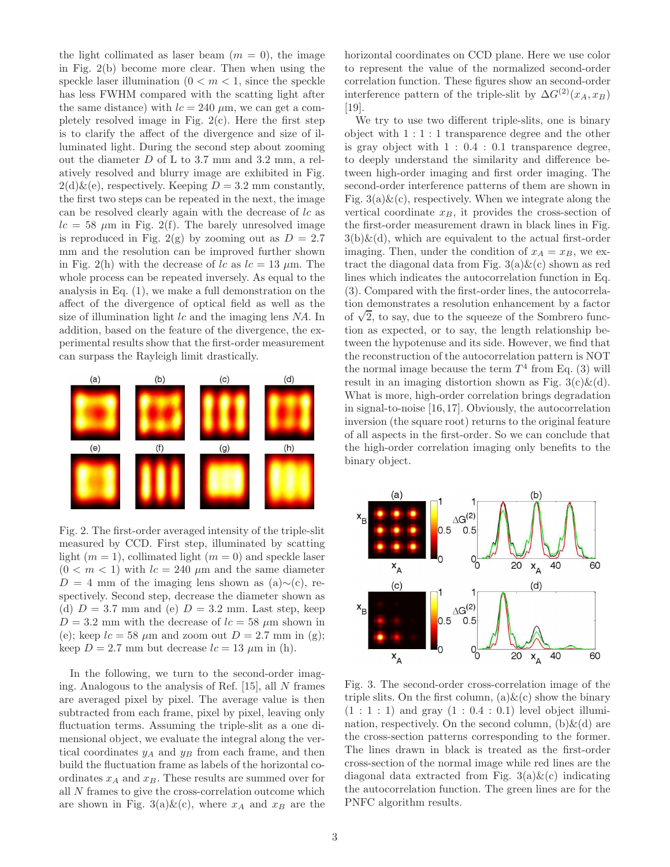the light collimated as laser beam  $(m = 0)$ , the image in Fig. 2(b) become more clear. Then when using the speckle laser illumination  $(0 < m < 1$ , since the speckle has less FWHM compared with the scatting light after the same distance) with  $lc = 240 \mu m$ , we can get a completely resolved image in Fig.  $2(c)$ . Here the first step is to clarify the affect of the divergence and size of illuminated light. During the second step about zooming out the diameter  $D$  of L to 3.7 mm and 3.2 mm, a relatively resolved and blurry image are exhibited in Fig.  $2(d)\&(e)$ , respectively. Keeping  $D = 3.2$  mm constantly, the first two steps can be repeated in the next, the image can be resolved clearly again with the decrease of lc as  $lc = 58 \mu m$  in Fig. 2(f). The barely unresolved image is reproduced in Fig. 2(g) by zooming out as  $D = 2.7$ mm and the resolution can be improved further shown in Fig. 2(h) with the decrease of lc as  $lc = 13 \mu m$ . The whole process can be repeated inversely. As equal to the analysis in Eq. (1), we make a full demonstration on the affect of the divergence of optical field as well as the size of illumination light  $lc$  and the imaging lens  $NA$ . In addition, based on the feature of the divergence, the experimental results show that the first-order measurement can surpass the Rayleigh limit drastically.



Fig. 2. The first-order averaged intensity of the triple-slit measured by CCD. First step, illuminated by scatting light  $(m = 1)$ , collimated light  $(m = 0)$  and speckle laser  $(0 < m < 1)$  with  $lc = 240 \mu m$  and the same diameter  $D = 4$  mm of the imaging lens shown as (a)∼(c), respectively. Second step, decrease the diameter shown as (d)  $D = 3.7$  mm and (e)  $D = 3.2$  mm. Last step, keep  $D = 3.2$  mm with the decrease of  $lc = 58 \mu m$  shown in (e); keep  $lc = 58 \mu m$  and zoom out  $D = 2.7 \text{ mm in (g)}$ ; keep  $D = 2.7$  mm but decrease  $lc = 13 \mu m$  in (h).

In the following, we turn to the second-order imaging. Analogous to the analysis of Ref. [15], all N frames are averaged pixel by pixel. The average value is then subtracted from each frame, pixel by pixel, leaving only fluctuation terms. Assuming the triple-slit as a one dimensional object, we evaluate the integral along the vertical coordinates  $y_A$  and  $y_B$  from each frame, and then build the fluctuation frame as labels of the horizontal coordinates  $x_A$  and  $x_B$ . These results are summed over for all N frames to give the cross-correlation outcome which are shown in Fig. 3(a)&(c), where  $x_A$  and  $x_B$  are the horizontal coordinates on CCD plane. Here we use color to represent the value of the normalized second-order correlation function. These figures show an second-order interference pattern of the triple-slit by  $\Delta G^{(2)}(x_A, x_B)$ [19].

We try to use two different triple-slits, one is binary object with 1 : 1 : 1 transparence degree and the other is gray object with 1 : 0.4 : 0.1 transparence degree, to deeply understand the similarity and difference between high-order imaging and first order imaging. The second-order interference patterns of them are shown in Fig.  $3(a)\&(c)$ , respectively. When we integrate along the vertical coordinate  $x_B$ , it provides the cross-section of the first-order measurement drawn in black lines in Fig.  $3(b)\&(d)$ , which are equivalent to the actual first-order imaging. Then, under the condition of  $x_A = x_B$ , we extract the diagonal data from Fig.  $3(a)\&(c)$  shown as red lines which indicates the autocorrelation function in Eq. (3). Compared with the first-order lines, the autocorrelation demonstrates a resolution enhancement by a factor of  $\sqrt{2}$ , to say, due to the squeeze of the Sombrero function as expected, or to say, the length relationship between the hypotenuse and its side. However, we find that the reconstruction of the autocorrelation pattern is NOT the normal image because the term  $T^4$  from Eq. (3) will result in an imaging distortion shown as Fig.  $3(c)\&(d)$ . What is more, high-order correlation brings degradation in signal-to-noise [16, 17]. Obviously, the autocorrelation inversion (the square root) returns to the original feature of all aspects in the first-order. So we can conclude that the high-order correlation imaging only benefits to the binary object.



Fig. 3. The second-order cross-correlation image of the triple slits. On the first column,  $(a) \& (c)$  show the binary  $(1:1:1)$  and gray  $(1:0.4:0.1)$  level object illumination, respectively. On the second column,  $(b) \& (d)$  are the cross-section patterns corresponding to the former. The lines drawn in black is treated as the first-order cross-section of the normal image while red lines are the diagonal data extracted from Fig.  $3(a) \& (c)$  indicating the autocorrelation function. The green lines are for the PNFC algorithm results.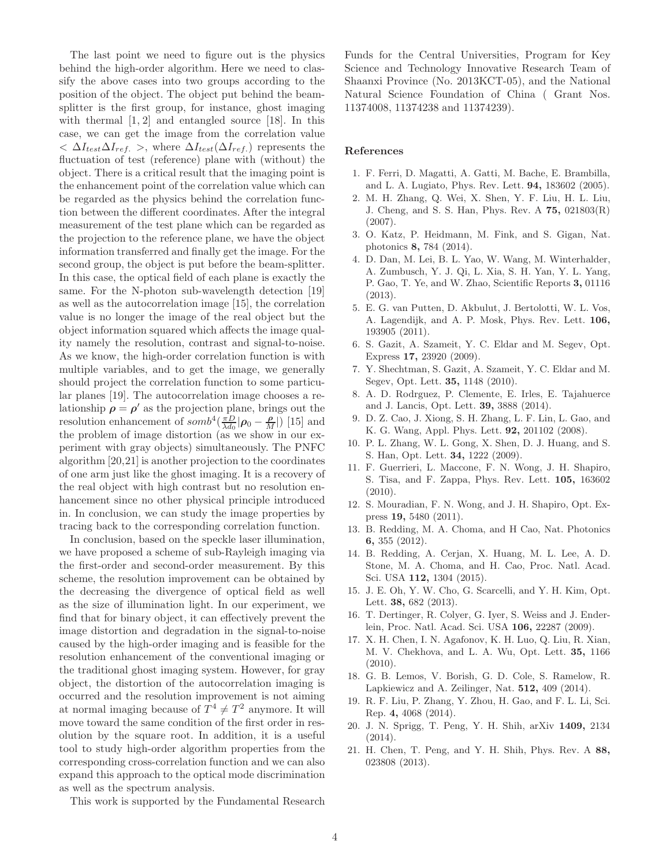The last point we need to figure out is the physics behind the high-order algorithm. Here we need to classify the above cases into two groups according to the position of the object. The object put behind the beamsplitter is the first group, for instance, ghost imaging with thermal  $[1, 2]$  and entangled source  $[18]$ . In this case, we can get the image from the correlation value  $\langle \Delta I_{test} \Delta I_{ref.} \rangle$ , where  $\Delta I_{test}(\Delta I_{ref.})$  represents the fluctuation of test (reference) plane with (without) the object. There is a critical result that the imaging point is the enhancement point of the correlation value which can be regarded as the physics behind the correlation function between the different coordinates. After the integral measurement of the test plane which can be regarded as the projection to the reference plane, we have the object information transferred and finally get the image. For the second group, the object is put before the beam-splitter. In this case, the optical field of each plane is exactly the same. For the N-photon sub-wavelength detection [19] as well as the autocorrelation image [15], the correlation value is no longer the image of the real object but the object information squared which affects the image quality namely the resolution, contrast and signal-to-noise. As we know, the high-order correlation function is with multiple variables, and to get the image, we generally should project the correlation function to some particular planes [19]. The autocorrelation image chooses a relationship  $\rho = \rho'$  as the projection plane, brings out the resolution enhancement of  $somb^4(\frac{\pi D}{\lambda d_0}|\rho_0 - \frac{\rho}{M}|)$  [15] and the problem of image distortion (as we show in our experiment with gray objects) simultaneously. The PNFC algorithm [20,21] is another projection to the coordinates of one arm just like the ghost imaging. It is a recovery of the real object with high contrast but no resolution enhancement since no other physical principle introduced in. In conclusion, we can study the image properties by tracing back to the corresponding correlation function.

In conclusion, based on the speckle laser illumination, we have proposed a scheme of sub-Rayleigh imaging via the first-order and second-order measurement. By this scheme, the resolution improvement can be obtained by the decreasing the divergence of optical field as well as the size of illumination light. In our experiment, we find that for binary object, it can effectively prevent the image distortion and degradation in the signal-to-noise caused by the high-order imaging and is feasible for the resolution enhancement of the conventional imaging or the traditional ghost imaging system. However, for gray object, the distortion of the autocorrelation imaging is occurred and the resolution improvement is not aiming at normal imaging because of  $T^4 \neq T^2$  anymore. It will move toward the same condition of the first order in resolution by the square root. In addition, it is a useful tool to study high-order algorithm properties from the corresponding cross-correlation function and we can also expand this approach to the optical mode discrimination as well as the spectrum analysis.

Funds for the Central Universities, Program for Key Science and Technology Innovative Research Team of Shaanxi Province (No. 2013KCT-05), and the National Natural Science Foundation of China ( Grant Nos. 11374008, 11374238 and 11374239).

## References

- 1. F. Ferri, D. Magatti, A. Gatti, M. Bache, E. Brambilla, and L. A. Lugiato, Phys. Rev. Lett. 94, 183602 (2005).
- 2. M. H. Zhang, Q. Wei, X. Shen, Y. F. Liu, H. L. Liu, J. Cheng, and S. S. Han, Phys. Rev. A 75, 021803(R) (2007).
- 3. O. Katz, P. Heidmann, M. Fink, and S. Gigan, Nat. photonics 8, 784 (2014).
- 4. D. Dan, M. Lei, B. L. Yao, W. Wang, M. Winterhalder, A. Zumbusch, Y. J. Qi, L. Xia, S. H. Yan, Y. L. Yang, P. Gao, T. Ye, and W. Zhao, Scientific Reports 3, 01116 (2013).
- 5. E. G. van Putten, D. Akbulut, J. Bertolotti, W. L. Vos, A. Lagendijk, and A. P. Mosk, Phys. Rev. Lett. 106, 193905 (2011).
- 6. S. Gazit, A. Szameit, Y. C. Eldar and M. Segev, Opt. Express 17, 23920 (2009).
- 7. Y. Shechtman, S. Gazit, A. Szameit, Y. C. Eldar and M. Segev, Opt. Lett. 35, 1148 (2010).
- 8. A. D. Rodrguez, P. Clemente, E. Irles, E. Tajahuerce and J. Lancis, Opt. Lett. 39, 3888 (2014).
- 9. D. Z. Cao, J. Xiong, S. H. Zhang, L. F. Lin, L. Gao, and K. G. Wang, Appl. Phys. Lett. 92, 201102 (2008).
- 10. P. L. Zhang, W. L. Gong, X. Shen, D. J. Huang, and S. S. Han, Opt. Lett. 34, 1222 (2009).
- 11. F. Guerrieri, L. Maccone, F. N. Wong, J. H. Shapiro, S. Tisa, and F. Zappa, Phys. Rev. Lett. 105, 163602 (2010).
- 12. S. Mouradian, F. N. Wong, and J. H. Shapiro, Opt. Express 19, 5480 (2011).
- 13. B. Redding, M. A. Choma, and H Cao, Nat. Photonics 6, 355 (2012).
- 14. B. Redding, A. Cerjan, X. Huang, M. L. Lee, A. D. Stone, M. A. Choma, and H. Cao, Proc. Natl. Acad. Sci. USA 112, 1304 (2015).
- 15. J. E. Oh, Y. W. Cho, G. Scarcelli, and Y. H. Kim, Opt. Lett. 38, 682 (2013).
- 16. T. Dertinger, R. Colyer, G. Iyer, S. Weiss and J. Enderlein, Proc. Natl. Acad. Sci. USA 106, 22287 (2009).
- 17. X. H. Chen, I. N. Agafonov, K. H. Luo, Q. Liu, R. Xian, M. V. Chekhova, and L. A. Wu, Opt. Lett. 35, 1166 (2010).
- 18. G. B. Lemos, V. Borish, G. D. Cole, S. Ramelow, R. Lapkiewicz and A. Zeilinger, Nat. 512, 409 (2014).
- 19. R. F. Liu, P. Zhang, Y. Zhou, H. Gao, and F. L. Li, Sci. Rep. 4, 4068 (2014).
- 20. J. N. Sprigg, T. Peng, Y. H. Shih, arXiv 1409, 2134 (2014).
- 21. H. Chen, T. Peng, and Y. H. Shih, Phys. Rev. A 88, 023808 (2013).

This work is supported by the Fundamental Research